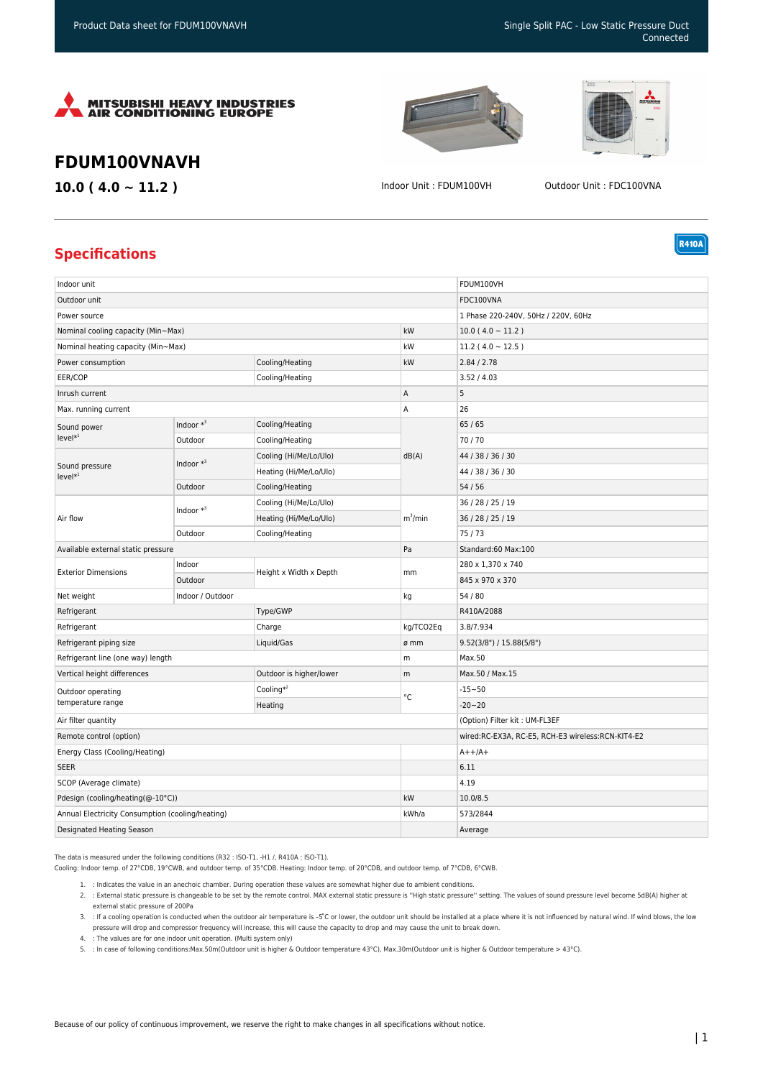



**R410A** 

## **FDUM100VNAVH**

**10.0 ( 4.0 ~ 11.2 )** Indoor Unit : FDUM100VH Outdoor Unit : FDC100VNA

## **Specifications**

| Indoor unit                                      |              |                         |            | FDUM100VH                                         |
|--------------------------------------------------|--------------|-------------------------|------------|---------------------------------------------------|
| Outdoor unit                                     |              |                         |            | FDC100VNA                                         |
| Power source                                     |              |                         |            | 1 Phase 220-240V, 50Hz / 220V, 60Hz               |
| Nominal cooling capacity (Min~Max)               |              |                         | kW         | $10.0(4.0 \sim 11.2)$                             |
| Nominal heating capacity (Min~Max)               |              |                         | kW         | 11.2 ( $4.0 \sim 12.5$ )                          |
| Power consumption                                |              | Cooling/Heating         | kW         | 2.84 / 2.78                                       |
| EER/COP                                          |              | Cooling/Heating         |            | 3.52 / 4.03                                       |
| Inrush current                                   |              |                         | Α          | 5                                                 |
| Max. running current                             |              |                         | A          | 26                                                |
| Sound power<br>$level*1$                         | Indoor $*^3$ | Cooling/Heating         | dB(A)      | 65 / 65                                           |
|                                                  | Outdoor      | Cooling/Heating         |            | 70/70                                             |
| Sound pressure<br>$level*1$                      | Indoor $*^3$ | Cooling (Hi/Me/Lo/Ulo)  |            | 44 / 38 / 36 / 30                                 |
|                                                  |              | Heating (Hi/Me/Lo/Ulo)  |            | 44 / 38 / 36 / 30                                 |
|                                                  | Outdoor      | Cooling/Heating         |            | 54/56                                             |
| Air flow                                         | Indoor $*^3$ | Cooling (Hi/Me/Lo/Ulo)  | $m^3/m$ in | 36 / 28 / 25 / 19                                 |
|                                                  |              | Heating (Hi/Me/Lo/Ulo)  |            | 36 / 28 / 25 / 19                                 |
|                                                  | Outdoor      | Cooling/Heating         |            | 75/73                                             |
| Available external static pressure               |              |                         | Pa         | Standard:60 Max:100                               |
| <b>Exterior Dimensions</b>                       | Indoor       | Height x Width x Depth  | mm         | 280 x 1,370 x 740                                 |
|                                                  | Outdoor      |                         |            | 845 x 970 x 370                                   |
| Indoor / Outdoor<br>Net weight                   |              |                         | kg         | 54 / 80                                           |
| Refrigerant                                      |              | Type/GWP                |            | R410A/2088                                        |
| Refrigerant                                      |              | Charge                  | kg/TCO2Eq  | 3.8/7.934                                         |
| Refrigerant piping size                          |              | Liquid/Gas              | ø mm       | 9.52(3/8") / 15.88(5/8")                          |
| Refrigerant line (one way) length                |              |                         | m          | Max.50                                            |
| Vertical height differences                      |              | Outdoor is higher/lower | m          | Max.50 / Max.15                                   |
| Outdoor operating                                |              | Cooling $*^2$           | °C         | $-15 - 50$                                        |
| temperature range                                |              | Heating                 |            | $-20 - 20$                                        |
| Air filter quantity                              |              |                         |            | (Option) Filter kit: UM-FL3EF                     |
| Remote control (option)                          |              |                         |            | wired:RC-EX3A, RC-E5, RCH-E3 wireless:RCN-KIT4-E2 |
| Energy Class (Cooling/Heating)                   |              |                         |            | $A++/A+$                                          |
| <b>SEER</b>                                      |              |                         |            | 6.11                                              |
| SCOP (Average climate)                           |              |                         |            | 4.19                                              |
| Pdesign (cooling/heating(@-10°C))                |              |                         | kW         | 10.0/8.5                                          |
| Annual Electricity Consumption (cooling/heating) |              |                         | kWh/a      | 573/2844                                          |
| Designated Heating Season                        |              |                         |            | Average                                           |

The data is measured under the following conditions (R32 : ISO-T1, -H1 /, R410A : ISO-T1).

Cooling: Indoor temp. of 27°CDB, 19°CWB, and outdoor temp. of 35°CDB. Heating: Indoor temp. of 20°CDB, and outdoor temp. of 7°CDB, 6°CWB.

- 1. : Indicates the value in an anechoic chamber. During operation these values are somewhat higher due to ambient conditions.
- 2. : External static pressure is changeable to be set by the remote control. MAX external static pressure is ''High static pressure'' setting. The values of sound pressure level become 5dB(A) higher at external static pressure of 200Pa

3. : If a cooling operation is conducted when the outdoor air temperature is –5°C or lower, the outdoor unit should be installed at a place where it is not influenced by natural wind. If wind blows, the low pressure will drop and compressor frequency will increase, this will cause the capacity to drop and may cause the unit to break down.

- 4. : The values are for one indoor unit operation. (Multi system only)
- 5. : In case of following conditions:Max.50m(Outdoor unit is higher & Outdoor temperature 43°C), Max.30m(Outdoor unit is higher & Outdoor temperature > 43°C).